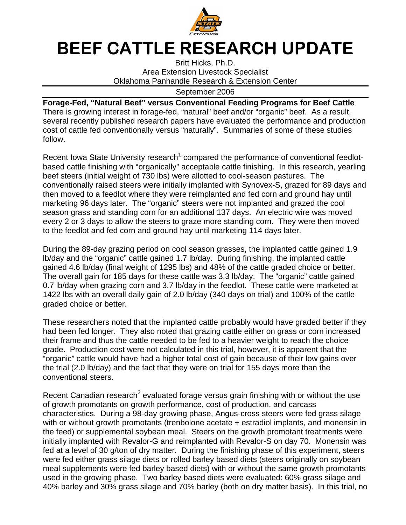

## BEEF CATTLE RESEARCH UPDATE

Britt Hicks, Ph.D. Area Extension Livestock Specialist Oklahoma Panhandle Research & Extension Center

September 2006

**Forage-Fed, "Natural Beef" versus Conventional Feeding Programs for Beef Cattle**  There is growing interest in forage-fed, "natural" beef and/or "organic" beef. As a result, several recently published research papers have evaluated the performance and production cost of cattle fed conventionally versus "naturally". Summaries of some of these studies follow.

Recent Iowa State University research<sup>1</sup> compared the performance of conventional feedlotbased cattle finishing with "organically" acceptable cattle finishing. In this research, yearling beef steers (initial weight of 730 lbs) were allotted to cool-season pastures. The conventionally raised steers were initially implanted with Synovex-S, grazed for 89 days and then moved to a feedlot where they were reimplanted and fed corn and ground hay until marketing 96 days later. The "organic" steers were not implanted and grazed the cool season grass and standing corn for an additional 137 days. An electric wire was moved every 2 or 3 days to allow the steers to graze more standing corn. They were then moved to the feedlot and fed corn and ground hay until marketing 114 days later.

During the 89-day grazing period on cool season grasses, the implanted cattle gained 1.9 lb/day and the "organic" cattle gained 1.7 lb/day. During finishing, the implanted cattle gained 4.6 lb/day (final weight of 1295 lbs) and 48% of the cattle graded choice or better. The overall gain for 185 days for these cattle was 3.3 lb/day. The "organic" cattle gained 0.7 lb/day when grazing corn and 3.7 lb/day in the feedlot. These cattle were marketed at 1422 lbs with an overall daily gain of 2.0 lb/day (340 days on trial) and 100% of the cattle graded choice or better.

These researchers noted that the implanted cattle probably would have graded better if they had been fed longer. They also noted that grazing cattle either on grass or corn increased their frame and thus the cattle needed to be fed to a heavier weight to reach the choice grade. Production cost were not calculated in this trial, however, it is apparent that the "organic" cattle would have had a higher total cost of gain because of their low gains over the trial (2.0 lb/day) and the fact that they were on trial for 155 days more than the conventional steers.

Recent Canadian research<sup>2</sup> evaluated forage versus grain finishing with or without the use of growth promotants on growth performance, cost of production, and carcass characteristics. During a 98-day growing phase, Angus-cross steers were fed grass silage with or without growth promotants (trenbolone acetate + estradiol implants, and monensin in the feed) or supplemental soybean meal. Steers on the growth promotant treatments were initially implanted with Revalor-G and reimplanted with Revalor-S on day 70. Monensin was fed at a level of 30 g/ton of dry matter. During the finishing phase of this experiment, steers were fed either grass silage diets or rolled barley based diets (steers originally on soybean meal supplements were fed barley based diets) with or without the same growth promotants used in the growing phase. Two barley based diets were evaluated: 60% grass silage and 40% barley and 30% grass silage and 70% barley (both on dry matter basis). In this trial, no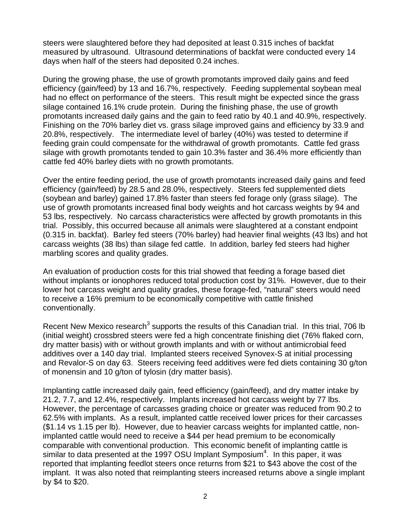steers were slaughtered before they had deposited at least 0.315 inches of backfat measured by ultrasound. Ultrasound determinations of backfat were conducted every 14 days when half of the steers had deposited 0.24 inches.

During the growing phase, the use of growth promotants improved daily gains and feed efficiency (gain/feed) by 13 and 16.7%, respectively. Feeding supplemental soybean meal had no effect on performance of the steers. This result might be expected since the grass silage contained 16.1% crude protein. During the finishing phase, the use of growth promotants increased daily gains and the gain to feed ratio by 40.1 and 40.9%, respectively. Finishing on the 70% barley diet vs. grass silage improved gains and efficiency by 33.9 and 20.8%, respectively. The intermediate level of barley (40%) was tested to determine if feeding grain could compensate for the withdrawal of growth promotants. Cattle fed grass silage with growth promotants tended to gain 10.3% faster and 36.4% more efficiently than cattle fed 40% barley diets with no growth promotants.

Over the entire feeding period, the use of growth promotants increased daily gains and feed efficiency (gain/feed) by 28.5 and 28.0%, respectively. Steers fed supplemented diets (soybean and barley) gained 17.8% faster than steers fed forage only (grass silage). The use of growth promotants increased final body weights and hot carcass weights by 94 and 53 lbs, respectively. No carcass characteristics were affected by growth promotants in this trial. Possibly, this occurred because all animals were slaughtered at a constant endpoint (0.315 in. backfat). Barley fed steers (70% barley) had heavier final weights (43 lbs) and hot carcass weights (38 lbs) than silage fed cattle. In addition, barley fed steers had higher marbling scores and quality grades.

An evaluation of production costs for this trial showed that feeding a forage based diet without implants or ionophores reduced total production cost by 31%. However, due to their lower hot carcass weight and quality grades, these forage-fed, "natural" steers would need to receive a 16% premium to be economically competitive with cattle finished conventionally.

Recent New Mexico research<sup>3</sup> supports the results of this Canadian trial. In this trial, 706 lb (initial weight) crossbred steers were fed a high concentrate finishing diet (76% flaked corn, dry matter basis) with or without growth implants and with or without antimicrobial feed additives over a 140 day trial. Implanted steers received Synovex-S at initial processing and Revalor-S on day 63. Steers receiving feed additives were fed diets containing 30 g/ton of monensin and 10 g/ton of tylosin (dry matter basis).

Implanting cattle increased daily gain, feed efficiency (gain/feed), and dry matter intake by 21.2, 7.7, and 12.4%, respectively. Implants increased hot carcass weight by 77 lbs. However, the percentage of carcasses grading choice or greater was reduced from 90.2 to 62.5% with implants. As a result, implanted cattle received lower prices for their carcasses (\$1.14 vs 1.15 per lb). However, due to heavier carcass weights for implanted cattle, nonimplanted cattle would need to receive a \$44 per head premium to be economically comparable with conventional production. This economic benefit of implanting cattle is similar to data presented at the 1997 OSU Implant Symposium<sup>4</sup>. In this paper, it was reported that implanting feedlot steers once returns from \$21 to \$43 above the cost of the implant. It was also noted that reimplanting steers increased returns above a single implant by \$4 to \$20.